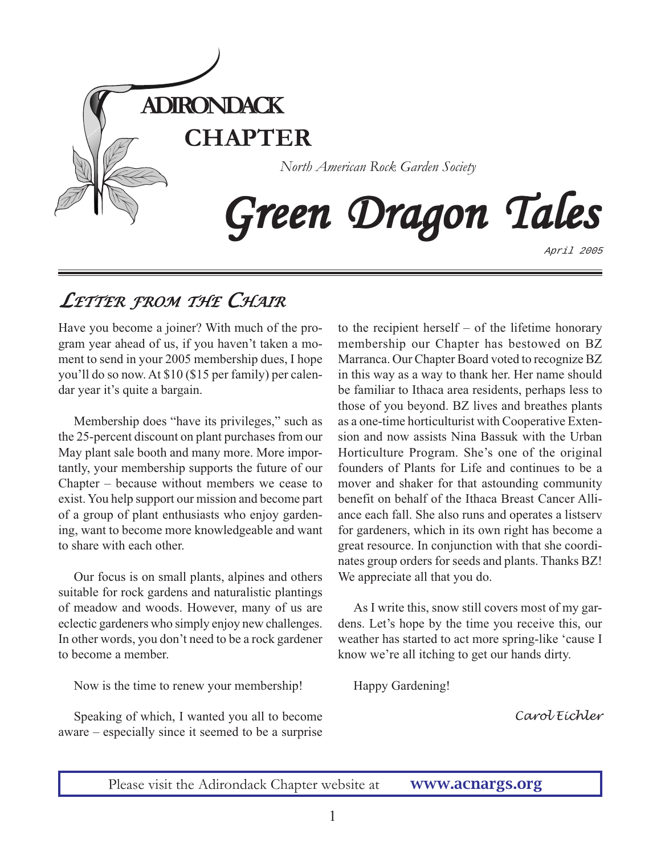

# *LETTER FROM THE CHAIR*

Have you become a joiner? With much of the program year ahead of us, if you haven't taken a moment to send in your 2005 membership dues, I hope you'll do so now. At \$10 (\$15 per family) per calendar year it's quite a bargain.

Membership does "have its privileges," such as the 25-percent discount on plant purchases from our May plant sale booth and many more. More importantly, your membership supports the future of our Chapter – because without members we cease to exist. You help support our mission and become part of a group of plant enthusiasts who enjoy gardening, want to become more knowledgeable and want to share with each other.

Our focus is on small plants, alpines and others suitable for rock gardens and naturalistic plantings of meadow and woods. However, many of us are eclectic gardeners who simply enjoy new challenges. In other words, you don't need to be a rock gardener to become a member.

Now is the time to renew your membership!

Speaking of which, I wanted you all to become aware – especially since it seemed to be a surprise to the recipient herself – of the lifetime honorary membership our Chapter has bestowed on BZ Marranca. Our Chapter Board voted to recognize BZ in this way as a way to thank her. Her name should be familiar to Ithaca area residents, perhaps less to those of you beyond. BZ lives and breathes plants as a one-time horticulturist with Cooperative Extension and now assists Nina Bassuk with the Urban Horticulture Program. She's one of the original founders of Plants for Life and continues to be a mover and shaker for that astounding community benefit on behalf of the Ithaca Breast Cancer Alliance each fall. She also runs and operates a listserv for gardeners, which in its own right has become a great resource. In conjunction with that she coordinates group orders for seeds and plants. Thanks BZ! We appreciate all that you do.

As I write this, snow still covers most of my gardens. Let's hope by the time you receive this, our weather has started to act more spring-like 'cause I know we're all itching to get our hands dirty.

Happy Gardening!

*Carol Eichler*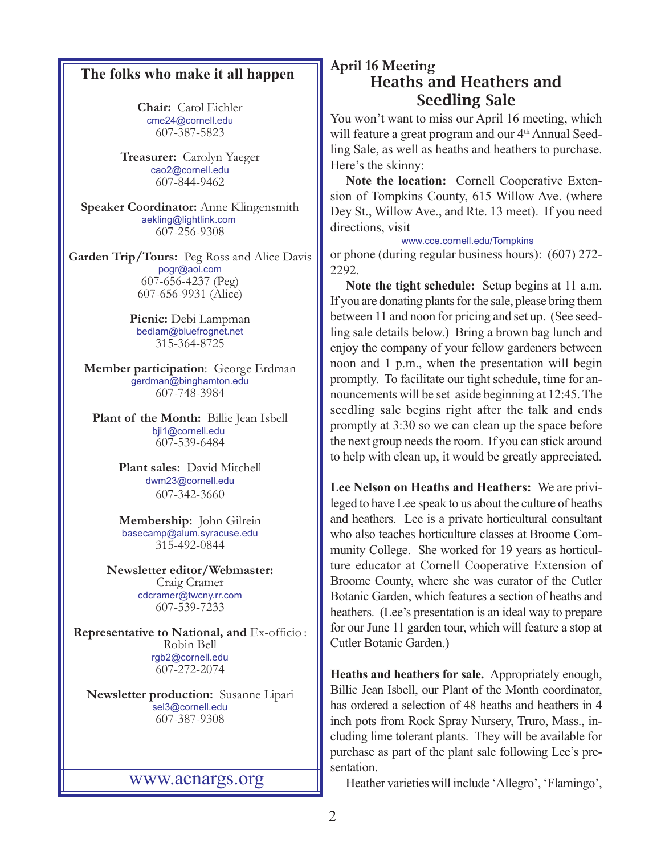## **The folks who make it all happen**

**Chair:** Carol Eichler [cme24@cornell.edu](mailto:cme24@cornell.ed) 607-387-5823

**Treasurer:** Carolyn Yaeger [cao2@cornell.edu](mailto:cao2@cornell.edu) 607-844-9462

**Speaker Coordinator:** Anne Klingensmith [aekling@lightlink.com](mailto:aekling@lightlink.com)  607-256-9308

**Garden Trip/Tours:** Peg Ross and Alice Davis [pogr@aol.com](mailto:pogr@aol.com) 607-656-4237 (Peg) 607-656-9931 (Alice)

> **Picnic:** Debi Lampman [bedlam@bluefrognet.net](mailto:bedlam@bluefrognet.net) 315-364-8725

**Member participation**: George Erdman [gerdman@binghamton.edu](Mailto:gerdman@binghamton.edu) 607-748-3984

**Plant of the Month:** Billie Jean Isbell [bji1@cornell.edu](mailto: bji1@cornell.edu|)  607-539-6484

> **Plant sales:** David Mitchell [dwm23@cornell.edu](mailto:dwm23@cornell.edu) 607-342-3660

> **Membership:** John Gilrein [basecamp@alum.syracuse.edu](mailto:basecamp@alum.syracuse.edu) 315-492-0844

**Newsletter editor/Webmaster:** Craig Cramer [cdcramer@twcny.rr.com](Mailto:cdcramer@twcny.rr.com) 607-539-7233

**Representative to National, and** Ex-officio : Robin Bell [rgb2@cornell.edu](mailto:rgb2@cornell.edu) 607-272-2074

**Newsletter production:** Susanne Lipari [sel3@cornell.edu](mailto:sel3@cornell.edu) 607-387-9308

### <www.acnargs.org>

## **April 16 Meeting** Heaths and Heathers and Seedling Sale

You won't want to miss our April 16 meeting, which will feature a great program and our 4<sup>th</sup> Annual Seedling Sale, as well as heaths and heathers to purchase. Here's the skinny:

**Note the location:** Cornell Cooperative Extension of Tompkins County, 615 Willow Ave. (where Dey St., Willow Ave., and Rte. 13 meet). If you need directions, visit

<www.cce.cornell.edu/Tompkins>

or phone (during regular business hours): (607) 272- 2292.

**Note the tight schedule:** Setup begins at 11 a.m. If you are donating plants for the sale, please bring them between 11 and noon for pricing and set up. (See seedling sale details below.) Bring a brown bag lunch and enjoy the company of your fellow gardeners between noon and 1 p.m., when the presentation will begin promptly. To facilitate our tight schedule, time for announcements will be set aside beginning at 12:45. The seedling sale begins right after the talk and ends promptly at 3:30 so we can clean up the space before the next group needs the room. If you can stick around to help with clean up, it would be greatly appreciated.

**Lee Nelson on Heaths and Heathers:** We are privileged to have Lee speak to us about the culture of heaths and heathers. Lee is a private horticultural consultant who also teaches horticulture classes at Broome Community College. She worked for 19 years as horticulture educator at Cornell Cooperative Extension of Broome County, where she was curator of the Cutler Botanic Garden, which features a section of heaths and heathers. (Lee's presentation is an ideal way to prepare for our June 11 garden tour, which will feature a stop at Cutler Botanic Garden.)

 Billie Jean Isbell, our Plant of the Month coordinator, **Heaths and heathers for sale.** Appropriately enough, has ordered a selection of 48 heaths and heathers in 4 inch pots from Rock Spray Nursery, Truro, Mass., including lime tolerant plants. They will be available for purchase as part of the plant sale following Lee's presentation.

Heather varieties will include 'Allegro', 'Flamingo',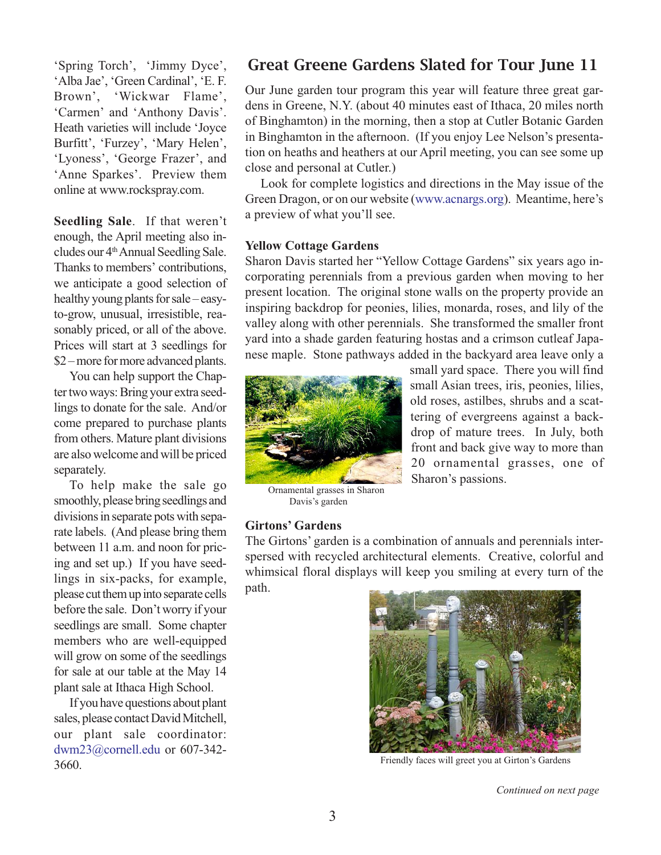'Spring Torch', 'Jimmy Dyce', 'Alba Jae', 'Green Cardinal', 'E. F. Brown', 'Wickwar Flame', 'Carmen' and 'Anthony Davis'. Heath varieties will include 'Joyce Burfitt', 'Furzey', 'Mary Helen', 'Lyoness', 'George Frazer', and 'Anne Sparkes'. Preview them online at [www.rockspray.com.](www.rockspray.com)

**Seedling Sale**. If that weren't enough, the April meeting also includes our 4<sup>th</sup> Annual Seedling Sale. Thanks to members' contributions, we anticipate a good selection of healthy young plants for sale – easyto-grow, unusual, irresistible, reasonably priced, or all of the above. Prices will start at 3 seedlings for \$2 – more for more advanced plants.

You can help support the Chapter two ways: Bring your extra seedlings to donate for the sale. And/or come prepared to purchase plants from others. Mature plant divisions are also welcome and will be priced separately.

To help make the sale go smoothly, please bring seedlings and divisions in separate pots with separate labels. (And please bring them between 11 a.m. and noon for pricing and set up.) If you have seedlings in six-packs, for example, please cut them up into separate cells before the sale. Don't worry if your seedlings are small. Some chapter members who are well-equipped will grow on some of the seedlings for sale at our table at the May 14 plant sale at Ithaca High School.

If you have questions about plant sales, please contact David Mitchell, our plant sale coordinator: dwm23@cornell.edu or 607-342- 3660.

# Great Greene Gardens Slated for Tour June 11

Our June garden tour program this year will feature three great gardens in Greene, N.Y. (about 40 minutes east of Ithaca, 20 miles north of Binghamton) in the morning, then a stop at Cutler Botanic Garden in Binghamton in the afternoon. (If you enjoy Lee Nelson's presentation on heaths and heathers at our April meeting, you can see some up close and personal at Cutler.)

Look for complete logistics and directions in the May issue of the Green Dragon, or on our website (www.acnargs.org). Meantime, here's a preview of what you'll see.

### **Yellow Cottage Gardens**

Sharon Davis started her "Yellow Cottage Gardens" six years ago incorporating perennials from a previous garden when moving to her present location. The original stone walls on the property provide an inspiring backdrop for peonies, lilies, monarda, roses, and lily of the valley along with other perennials. She transformed the smaller front yard into a shade garden featuring hostas and a crimson cutleaf Japanese maple. Stone pathways added in the backyard area leave only a



Ornamental grasses in Sharon Davis's garden

## **Girtons' Gardens**

The Girtons' garden is a combination of annuals and perennials interspersed with recycled architectural elements. Creative, colorful and whimsical floral displays will keep you smiling at every turn of the path.

Sharon's passions.



small yard space. There you will find small Asian trees, iris, peonies, lilies, old roses, astilbes, shrubs and a scattering of evergreens against a backdrop of mature trees. In July, both front and back give way to more than 20 ornamental grasses, one of

Friendly faces will greet you at Girton's Gardens

*Continued on next page*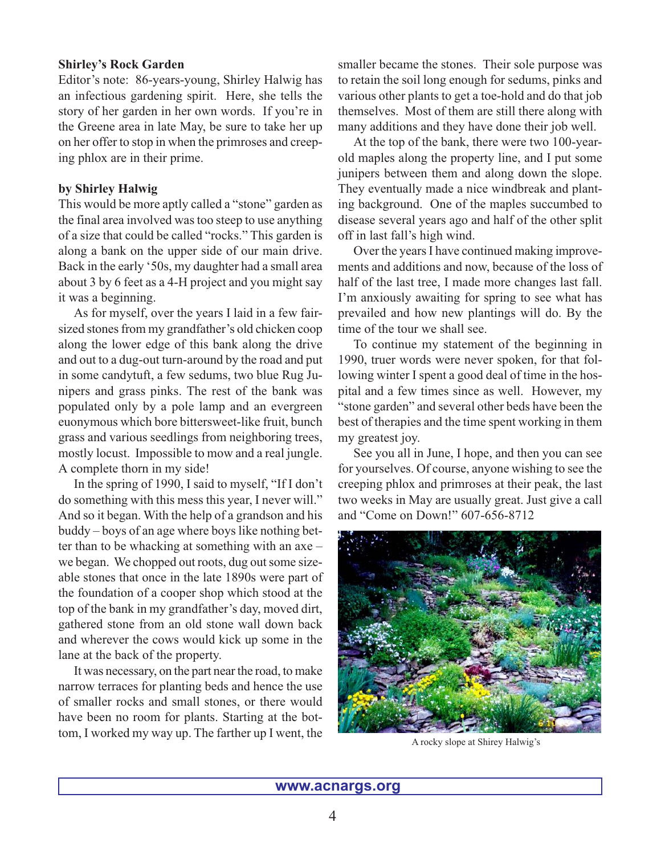## **Shirley's Rock Garden**

Editor's note: 86-years-young, Shirley Halwig has an infectious gardening spirit. Here, she tells the story of her garden in her own words. If you're in the Greene area in late May, be sure to take her up on her offer to stop in when the primroses and creeping phlox are in their prime.

## **by Shirley Halwig**

This would be more aptly called a "stone" garden as the final area involved was too steep to use anything of a size that could be called "rocks." This garden is along a bank on the upper side of our main drive. Back in the early '50s, my daughter had a small area about 3 by 6 feet as a 4-H project and you might say it was a beginning.

As for myself, over the years I laid in a few fairsized stones from my grandfather's old chicken coop along the lower edge of this bank along the drive and out to a dug-out turn-around by the road and put in some candytuft, a few sedums, two blue Rug Junipers and grass pinks. The rest of the bank was populated only by a pole lamp and an evergreen euonymous which bore bittersweet-like fruit, bunch grass and various seedlings from neighboring trees, mostly locust. Impossible to mow and a real jungle. A complete thorn in my side!

In the spring of 1990, I said to myself, "If I don't do something with this mess this year, I never will." And so it began. With the help of a grandson and his buddy – boys of an age where boys like nothing better than to be whacking at something with an axe – we began. We chopped out roots, dug out some sizeable stones that once in the late 1890s were part of the foundation of a cooper shop which stood at the top of the bank in my grandfather's day, moved dirt, gathered stone from an old stone wall down back and wherever the cows would kick up some in the lane at the back of the property.

It was necessary, on the part near the road, to make narrow terraces for planting beds and hence the use of smaller rocks and small stones, or there would have been no room for plants. Starting at the bottom, I worked my way up. The farther up I went, the

smaller became the stones. Their sole purpose was to retain the soil long enough for sedums, pinks and various other plants to get a toe-hold and do that job themselves. Most of them are still there along with many additions and they have done their job well.

At the top of the bank, there were two 100-yearold maples along the property line, and I put some junipers between them and along down the slope. They eventually made a nice windbreak and planting background. One of the maples succumbed to disease several years ago and half of the other split off in last fall's high wind.

Over the years I have continued making improvements and additions and now, because of the loss of half of the last tree, I made more changes last fall. I'm anxiously awaiting for spring to see what has prevailed and how new plantings will do. By the time of the tour we shall see.

To continue my statement of the beginning in 1990, truer words were never spoken, for that following winter I spent a good deal of time in the hospital and a few times since as well. However, my "stone garden" and several other beds have been the best of therapies and the time spent working in them my greatest joy.

See you all in June, I hope, and then you can see for yourselves. Of course, anyone wishing to see the creeping phlox and primroses at their peak, the last two weeks in May are usually great. Just give a call and "Come on Down!" 607-656-8712



A rocky slope at Shirey Halwig's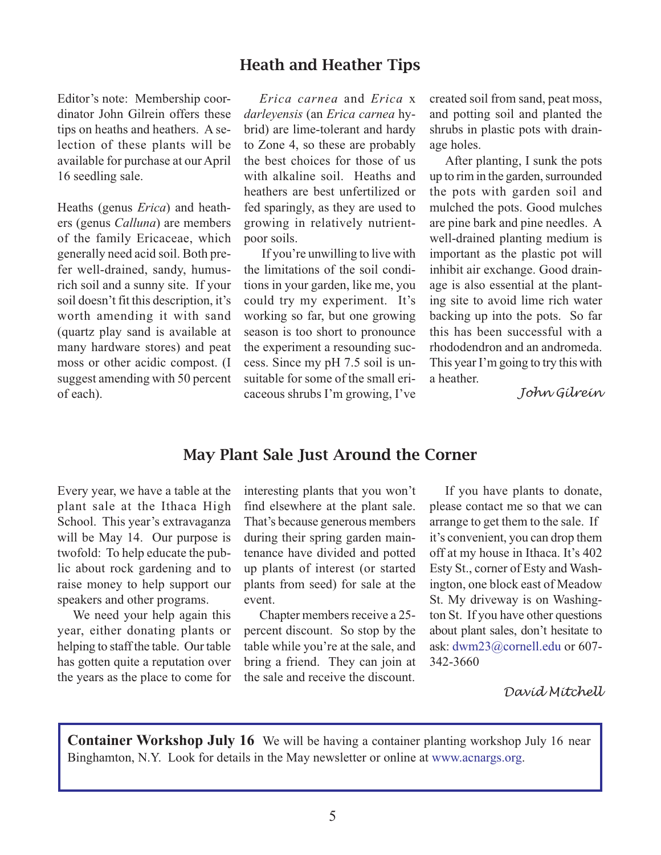## Heath and Heather Tips

Editor's note: Membership coordinator John Gilrein offers these tips on heaths and heathers. A selection of these plants will be available for purchase at our April 16 seedling sale.

Heaths (genus *Erica*) and heathers (genus *Calluna*) are members of the family Ericaceae, which generally need acid soil. Both prefer well-drained, sandy, humusrich soil and a sunny site. If your soil doesn't fit this description, it's worth amending it with sand (quartz play sand is available at many hardware stores) and peat moss or other acidic compost. (I suggest amending with 50 percent of each).

*Erica carnea* and *Erica* x *darleyensis* (an *Erica carnea* hybrid) are lime-tolerant and hardy to Zone 4, so these are probably the best choices for those of us with alkaline soil. Heaths and heathers are best unfertilized or fed sparingly, as they are used to growing in relatively nutrientpoor soils.

If you're unwilling to live with the limitations of the soil conditions in your garden, like me, you could try my experiment. It's working so far, but one growing season is too short to pronounce the experiment a resounding success. Since my pH 7.5 soil is unsuitable for some of the small ericaceous shrubs I'm growing, I've

created soil from sand, peat moss, and potting soil and planted the shrubs in plastic pots with drainage holes.

After planting, I sunk the pots up to rim in the garden, surrounded the pots with garden soil and mulched the pots. Good mulches are pine bark and pine needles. A well-drained planting medium is important as the plastic pot will inhibit air exchange. Good drainage is also essential at the planting site to avoid lime rich water backing up into the pots. So far this has been successful with a rhododendron and an andromeda. This year I'm going to try this with a heather.

 *John Gilrein*

## May Plant Sale Just Around the Corner

Every year, we have a table at the plant sale at the Ithaca High School. This year's extravaganza will be May 14. Our purpose is twofold: To help educate the public about rock gardening and to raise money to help support our speakers and other programs.

We need your help again this year, either donating plants or helping to staff the table. Our table has gotten quite a reputation over the years as the place to come for interesting plants that you won't find elsewhere at the plant sale. That's because generous members during their spring garden maintenance have divided and potted up plants of interest (or started plants from seed) for sale at the event.

Chapter members receive a 25 percent discount. So stop by the table while you're at the sale, and bring a friend. They can join at the sale and receive the discount.

If you have plants to donate, please contact me so that we can arrange to get them to the sale. If it's convenient, you can drop them off at my house in Ithaca. It's 402 Esty St., corner of Esty and Washington, one block east of Meadow St. My driveway is on Washington St. If you have other questions about plant sales, don't hesitate to ask: [dwm23@cornell.edu](mailto:dwm23@cornell.edu) or 607- 342-3660

*David Mitchell*

**Container Workshop July 16** We will be having a container planting workshop July 16 near Binghamton, N.Y. Look for details in the May newsletter or online at www.acnargs.org.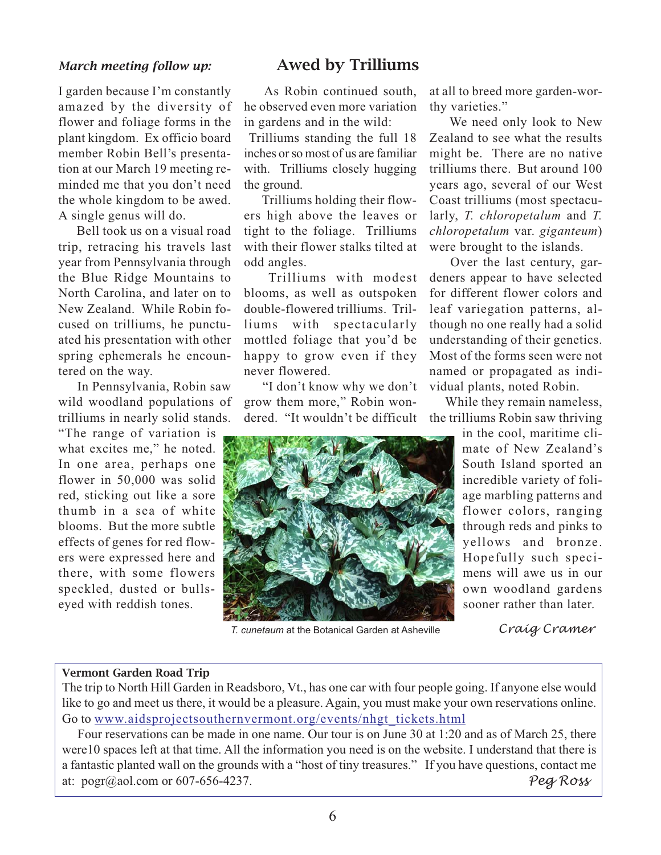I garden because I'm constantly amazed by the diversity of flower and foliage forms in the plant kingdom. Ex officio board member Robin Bell's presentation at our March 19 meeting reminded me that you don't need the whole kingdom to be awed. A single genus will do.

Bell took us on a visual road trip, retracing his travels last year from Pennsylvania through the Blue Ridge Mountains to North Carolina, and later on to New Zealand. While Robin focused on trilliums, he punctuated his presentation with other spring ephemerals he encountered on the way.

In Pennsylvania, Robin saw wild woodland populations of trilliums in nearly solid stands.

"The range of variation is what excites me," he noted. In one area, perhaps one flower in 50,000 was solid red, sticking out like a sore thumb in a sea of white blooms. But the more subtle effects of genes for red flowers were expressed here and there, with some flowers speckled, dusted or bullseyed with reddish tones.

## *March meeting follow up:* Awed by Trilliums

As Robin continued south, he observed even more variation in gardens and in the wild:

Trilliums standing the full 18 inches or so most of us are familiar with. Trilliums closely hugging the ground.

Trilliums holding their flowers high above the leaves or tight to the foliage. Trilliums with their flower stalks tilted at odd angles.

Trilliums with modest blooms, as well as outspoken double-flowered trilliums. Trilliums with spectacularly mottled foliage that you'd be happy to grow even if they never flowered.

"I don't know why we don't grow them more," Robin wondered. "It wouldn't be difficult at all to breed more garden-worthy varieties."

We need only look to New Zealand to see what the results might be. There are no native trilliums there. But around 100 years ago, several of our West Coast trilliums (most spectacularly, *T. chloropetalum* and *T. chloropetalum* var. *giganteum*) were brought to the islands.

Over the last century, gardeners appear to have selected for different flower colors and leaf variegation patterns, although no one really had a solid understanding of their genetics. Most of the forms seen were not named or propagated as individual plants, noted Robin.

While they remain nameless, the trilliums Robin saw thriving



*T. cunetaum* at the Botanical Garden at Asheville *Craig Cramer*

### Vermont Garden Road Trip

The trip to North Hill Garden in Readsboro, Vt., has one car with four people going. If anyone else would like to go and meet us there, it would be a pleasure. Again, you must make your own reservations online. Go to [www.aidsprojectsouthernvermont.org/events/nhgt\\_tickets.html](www.aidsprojectsouthernvermont.org/events/nhgt_tickets.html)

Four reservations can be made in one name. Our tour is on June 30 at 1:20 and as of March 25, there were10 spaces left at that time. All the information you need is on the website. I understand that there is a fantastic planted wall on the grounds with a "host of tiny treasures." If you have questions, contact me at: pogr@aol.com or 607-656-4237. *Peg Ross*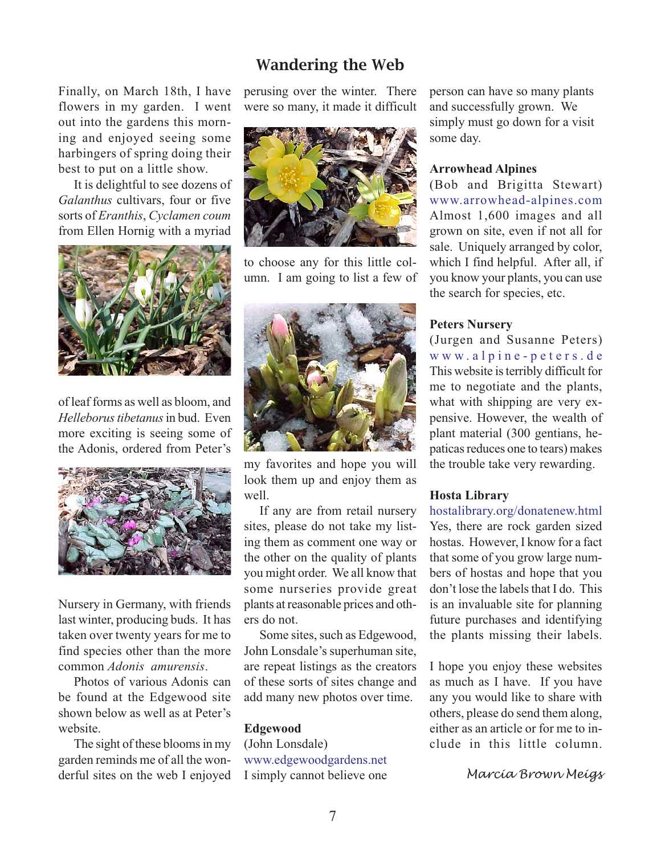## Wandering the Web

Finally, on March 18th, I have flowers in my garden. I went out into the gardens this morning and enjoyed seeing some harbingers of spring doing their best to put on a little show.

It is delightful to see dozens of *Galanthus* cultivars, four or five sorts of *Eranthis*, *Cyclamen coum* from Ellen Hornig with a myriad



of leaf forms as well as bloom, and *Helleborus tibetanus* in bud. Even more exciting is seeing some of the Adonis, ordered from Peter's



Nursery in Germany, with friends last winter, producing buds. It has taken over twenty years for me to find species other than the more common *Adonis amurensis*.

Photos of various Adonis can be found at the Edgewood site shown below as well as at Peter's website.

The sight of these blooms in my garden reminds me of all the wonderful sites on the web I enjoyed

perusing over the winter. There were so many, it made it difficult



to choose any for this little column. I am going to list a few of



my favorites and hope you will look them up and enjoy them as well.

If any are from retail nursery sites, please do not take my listing them as comment one way or the other on the quality of plants you might order. We all know that some nurseries provide great plants at reasonable prices and others do not.

Some sites, such as Edgewood, John Lonsdale's superhuman site, are repeat listings as the creators of these sorts of sites change and add many new photos over time.

### **Edgewood**

(John Lonsdale) <www.edgewoodgardens.net> I simply cannot believe one person can have so many plants and successfully grown. We simply must go down for a visit some day.

### **Arrowhead Alpines**

(Bob and Brigitta Stewart) <www.arrowhead-alpines.com> Almost 1,600 images and all grown on site, even if not all for sale. Uniquely arranged by color, which I find helpful. After all, if you know your plants, you can use the search for species, etc.

### **Peters Nursery**

(Jurgen and Susanne Peters) <www.alpine-peters.de> This website is terribly difficult for me to negotiate and the plants, what with shipping are very expensive. However, the wealth of plant material (300 gentians, hepaticas reduces one to tears) makes the trouble take very rewarding.

### **Hosta Library**

<hostalibrary.org/donatenew.html> Yes, there are rock garden sized hostas. However, I know for a fact that some of you grow large numbers of hostas and hope that you don't lose the labels that I do. This is an invaluable site for planning future purchases and identifying the plants missing their labels.

I hope you enjoy these websites as much as I have. If you have any you would like to share with others, please do send them along, either as an article or for me to include in this little column.

*Marcia Brown Meigs*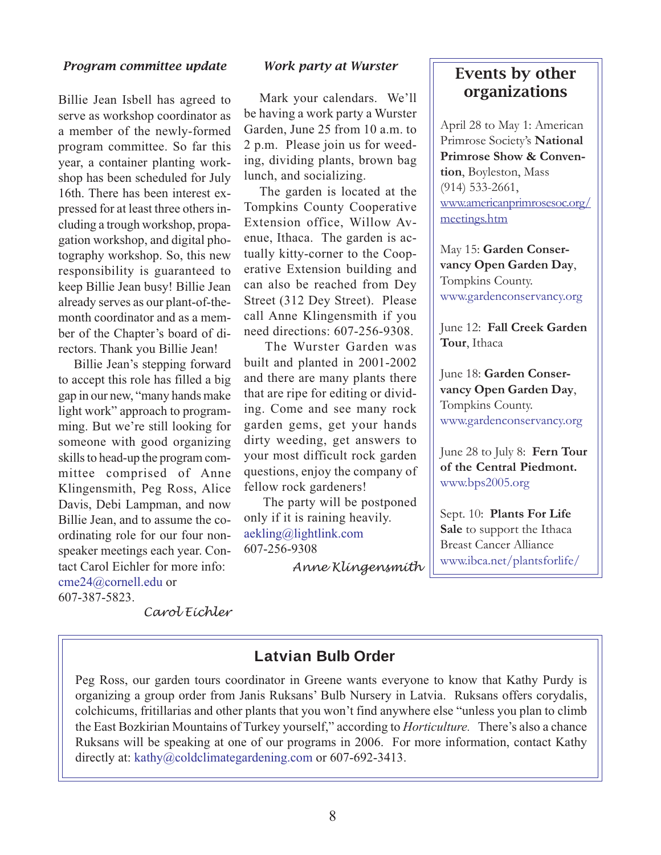### *Program committee update*

Billie Jean Isbell has agreed to serve as workshop coordinator as a member of the newly-formed program committee. So far this year, a container planting workshop has been scheduled for July 16th. There has been interest expressed for at least three others including a trough workshop, propagation workshop, and digital photography workshop. So, this new responsibility is guaranteed to keep Billie Jean busy! Billie Jean already serves as our plant-of-themonth coordinator and as a member of the Chapter's board of directors. Thank you Billie Jean!

Billie Jean's stepping forward to accept this role has filled a big gap in our new, "many hands make light work" approach to programming. But we're still looking for someone with good organizing skills to head-up the program committee comprised of Anne Klingensmith, Peg Ross, Alice Davis, Debi Lampman, and now Billie Jean, and to assume the coordinating role for our four nonspeaker meetings each year. Contact Carol Eichler for more info: cme24@cornell.edu or 607-387-5823.

### *Work party at Wurster*

Mark your calendars. We'll be having a work party a Wurster Garden, June 25 from 10 a.m. to 2 p.m. Please join us for weeding, dividing plants, brown bag lunch, and socializing.

The garden is located at the Tompkins County Cooperative Extension office, Willow Avenue, Ithaca. The garden is actually kitty-corner to the Cooperative Extension building and can also be reached from Dey Street (312 Dey Street). Please call Anne Klingensmith if you need directions: 607-256-9308.

The Wurster Garden was built and planted in 2001-2002 and there are many plants there that are ripe for editing or dividing. Come and see many rock garden gems, get your hands dirty weeding, get answers to your most difficult rock garden questions, enjoy the company of fellow rock gardeners!

The party will be postponed only if it is raining heavily. aekling@lightlink.com 607-256-9308

*Anne Klingensmith*

# Events by other organizations

April 28 to May 1: American Primrose Society's **National Primrose Show & Convention**, Boyleston, Mass (914) 533-2661, www.americanprimrosesoc.org/ meetings.htm

May 15: **Garden Conservancy Open Garden Day**, Tompkins County. www.gardenconservancy.org

June 12: **Fall Creek Garden Tour**, Ithaca

June 18: **Garden Conservancy Open Garden Day**, Tompkins County. www.gardenconservancy.org

June 28 to July 8: **Fern Tour of the Central Piedmont.** www.bps2005.org

Sept. 10: **Plants For Life Sale** to support the Ithaca Breast Cancer Alliance www.ibca.net/plantsforlife/

*Carol Eichler*

## **Latvian Bulb Order**

Peg Ross, our garden tours coordinator in Greene wants everyone to know that Kathy Purdy is organizing a group order from Janis Ruksans' Bulb Nursery in Latvia. Ruksans offers corydalis, colchicums, fritillarias and other plants that you won't find anywhere else "unless you plan to climb the East Bozkirian Mountains of Turkey yourself," according to *Horticulture.* There's also a chance Ruksans will be speaking at one of our programs in 2006. For more information, contact Kathy directly at: kathy@coldclimategardening.com or 607-692-3413.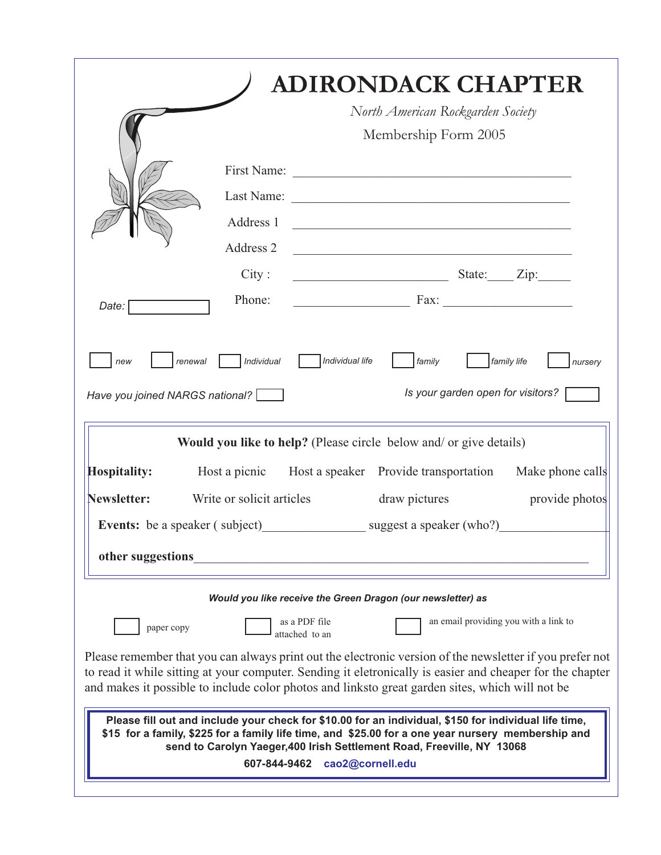|                                                                                                                                                                                                                                                                                                                           |                           | <b>ADIRONDACK CHAPTER</b>                                                                                                                                                                                                                                                                                                |
|---------------------------------------------------------------------------------------------------------------------------------------------------------------------------------------------------------------------------------------------------------------------------------------------------------------------------|---------------------------|--------------------------------------------------------------------------------------------------------------------------------------------------------------------------------------------------------------------------------------------------------------------------------------------------------------------------|
|                                                                                                                                                                                                                                                                                                                           |                           | North American Rockgarden Society                                                                                                                                                                                                                                                                                        |
|                                                                                                                                                                                                                                                                                                                           |                           | Membership Form 2005                                                                                                                                                                                                                                                                                                     |
|                                                                                                                                                                                                                                                                                                                           |                           |                                                                                                                                                                                                                                                                                                                          |
|                                                                                                                                                                                                                                                                                                                           |                           |                                                                                                                                                                                                                                                                                                                          |
|                                                                                                                                                                                                                                                                                                                           | Address 1                 | <u> 1989 - Johann John Harry Harry Harry Harry Harry Harry Harry Harry Harry Harry Harry Harry Harry Harry Harry Harry Harry Harry Harry Harry Harry Harry Harry Harry Harry Harry Harry Harry Harry Harry Harry Harry Harry Har</u>                                                                                     |
|                                                                                                                                                                                                                                                                                                                           | Address 2                 |                                                                                                                                                                                                                                                                                                                          |
|                                                                                                                                                                                                                                                                                                                           | City:                     | $S \text{tate:}$ $\qquad \qquad \text{Zip:}$                                                                                                                                                                                                                                                                             |
| Date:                                                                                                                                                                                                                                                                                                                     | Phone:                    |                                                                                                                                                                                                                                                                                                                          |
|                                                                                                                                                                                                                                                                                                                           |                           |                                                                                                                                                                                                                                                                                                                          |
| renewal<br>new                                                                                                                                                                                                                                                                                                            | Individual                | Individual life<br>family<br>family life<br>nursery                                                                                                                                                                                                                                                                      |
| Have you joined NARGS national?                                                                                                                                                                                                                                                                                           |                           | Is your garden open for visitors?                                                                                                                                                                                                                                                                                        |
| <b>Would you like to help?</b> (Please circle below and/ or give details)                                                                                                                                                                                                                                                 |                           |                                                                                                                                                                                                                                                                                                                          |
| <b>Hospitality:</b>                                                                                                                                                                                                                                                                                                       |                           | Host a picnic Host a speaker Provide transportation Make phone calls                                                                                                                                                                                                                                                     |
| Newsletter:                                                                                                                                                                                                                                                                                                               | Write or solicit articles | draw pictures<br>provide photos                                                                                                                                                                                                                                                                                          |
| Events: be a speaker (subject) suggest a speaker (who?)                                                                                                                                                                                                                                                                   |                           |                                                                                                                                                                                                                                                                                                                          |
| other suggestions                                                                                                                                                                                                                                                                                                         |                           |                                                                                                                                                                                                                                                                                                                          |
| Would you like receive the Green Dragon (our newsletter) as                                                                                                                                                                                                                                                               |                           |                                                                                                                                                                                                                                                                                                                          |
| an email providing you with a link to<br>as a PDF file<br>paper copy<br>attached to an                                                                                                                                                                                                                                    |                           |                                                                                                                                                                                                                                                                                                                          |
|                                                                                                                                                                                                                                                                                                                           |                           | Please remember that you can always print out the electronic version of the newsletter if you prefer not<br>to read it while sitting at your computer. Sending it eletronically is easier and cheaper for the chapter<br>and makes it possible to include color photos and linksto great garden sites, which will not be |
| Please fill out and include your check for \$10.00 for an individual, \$150 for individual life time,<br>\$15 for a family, \$225 for a family life time, and \$25.00 for a one year nursery membership and<br>send to Carolyn Yaeger, 400 Irish Settlement Road, Freeville, NY 13068<br>cao2@cornell.edu<br>607-844-9462 |                           |                                                                                                                                                                                                                                                                                                                          |